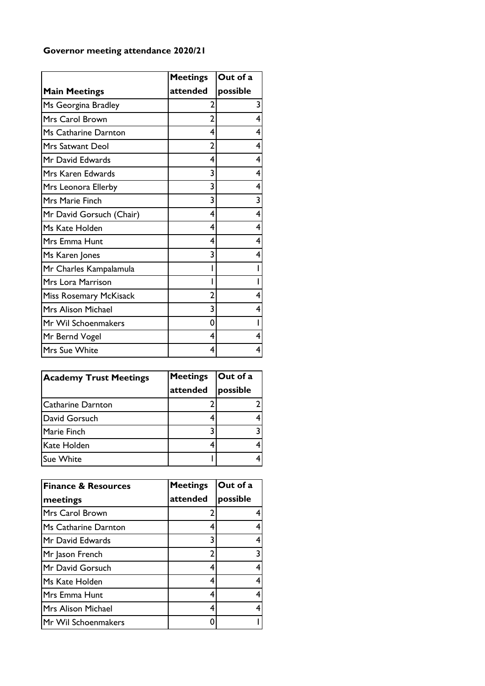## **Governor meeting attendance 2020/21**

|                               | <b>Meetings</b> | Out of a |
|-------------------------------|-----------------|----------|
| <b>Main Meetings</b>          | attended        | possible |
| Ms Georgina Bradley           | 2               | 3        |
| Mrs Carol Brown               | 2               |          |
| Ms Catharine Darnton          | 4               |          |
| <b>Mrs Satwant Deol</b>       | 2               |          |
| Mr David Edwards              | 4               |          |
| Mrs Karen Edwards             | 3               |          |
| Mrs Leonora Ellerby           | 3               |          |
| Mrs Marie Finch               | 3               | 3        |
| Mr David Gorsuch (Chair)      | 4               | 4        |
| Ms Kate Holden                | 4               | 4        |
| Mrs Emma Hunt                 | 4               |          |
| Ms Karen Jones                | 3               |          |
| Mr Charles Kampalamula        |                 |          |
| <b>Mrs Lora Marrison</b>      |                 |          |
| <b>Miss Rosemary McKisack</b> | 2               |          |
| <b>Mrs Alison Michael</b>     | 3               |          |
| Mr Wil Schoenmakers           | 0               |          |
| Mr Bernd Vogel                | 4               |          |
| <b>Mrs Sue White</b>          | 4               | 4        |

| <b>Academy Trust Meetings</b> | <b>Meetings</b><br>attended | Out of a<br>possible |
|-------------------------------|-----------------------------|----------------------|
| <b>Catharine Darnton</b>      |                             |                      |
| David Gorsuch                 |                             |                      |
| Marie Finch                   |                             |                      |
| Kate Holden                   |                             |                      |
| <b>Sue White</b>              |                             |                      |

| <b>Finance &amp; Resources</b> | <b>Meetings</b> | Out of a |
|--------------------------------|-----------------|----------|
| meetings                       | attended        | possible |
| Mrs Carol Brown                | $\mathbf{c}$    |          |
| Ms Catharine Darnton           | 4               |          |
| Mr David Edwards               | 3               |          |
| Mr Jason French                | $\overline{2}$  | 3        |
| Mr David Gorsuch               | 4               |          |
| Ms Kate Holden                 | 4               | 4        |
| Mrs Emma Hunt                  | 4               | 4        |
| Mrs Alison Michael             | 4               |          |
| Mr Wil Schoenmakers            |                 |          |